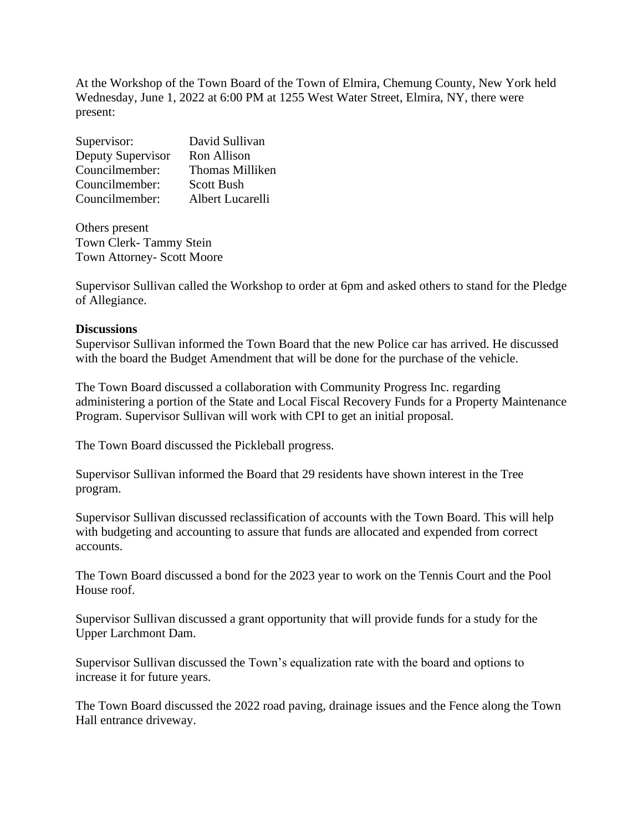At the Workshop of the Town Board of the Town of Elmira, Chemung County, New York held Wednesday, June 1, 2022 at 6:00 PM at 1255 West Water Street, Elmira, NY, there were present:

| Supervisor:       | David Sullivan         |
|-------------------|------------------------|
| Deputy Supervisor | Ron Allison            |
| Councilmember:    | <b>Thomas Milliken</b> |
| Councilmember:    | <b>Scott Bush</b>      |
| Councilmember:    | Albert Lucarelli       |

Others present Town Clerk- Tammy Stein Town Attorney- Scott Moore

Supervisor Sullivan called the Workshop to order at 6pm and asked others to stand for the Pledge of Allegiance.

## **Discussions**

Supervisor Sullivan informed the Town Board that the new Police car has arrived. He discussed with the board the Budget Amendment that will be done for the purchase of the vehicle.

The Town Board discussed a collaboration with Community Progress Inc. regarding administering a portion of the State and Local Fiscal Recovery Funds for a Property Maintenance Program. Supervisor Sullivan will work with CPI to get an initial proposal.

The Town Board discussed the Pickleball progress.

Supervisor Sullivan informed the Board that 29 residents have shown interest in the Tree program.

Supervisor Sullivan discussed reclassification of accounts with the Town Board. This will help with budgeting and accounting to assure that funds are allocated and expended from correct accounts.

The Town Board discussed a bond for the 2023 year to work on the Tennis Court and the Pool House roof.

Supervisor Sullivan discussed a grant opportunity that will provide funds for a study for the Upper Larchmont Dam.

Supervisor Sullivan discussed the Town's equalization rate with the board and options to increase it for future years.

The Town Board discussed the 2022 road paving, drainage issues and the Fence along the Town Hall entrance driveway.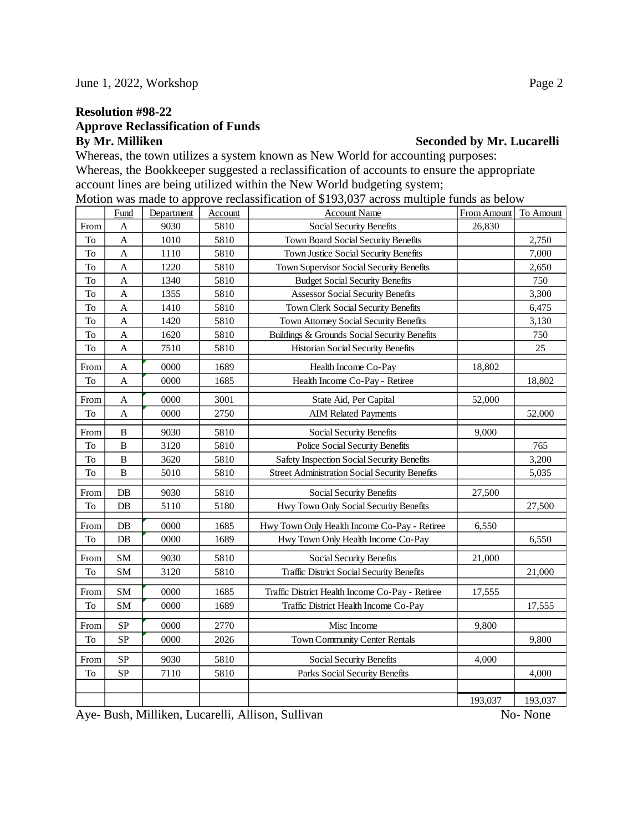## **Resolution #98-22**

## **Approve Reclassification of Funds By Mr. Milliken Seconded by Mr. Lucarelli**

Whereas, the town utilizes a system known as New World for accounting purposes: Whereas, the Bookkeeper suggested a reclassification of accounts to ensure the appropriate account lines are being utilized within the New World budgeting system; Motion was made to approve reclassification of \$193,037 across multiple funds as below

|      | Fund                      | Department | Account | <b>Account Name</b>                                   | From Amount | To Amount |
|------|---------------------------|------------|---------|-------------------------------------------------------|-------------|-----------|
| From | A                         | 9030       | 5810    | Social Security Benefits                              | 26,830      |           |
| To   | A                         | 1010       | 5810    | Town Board Social Security Benefits                   |             | 2,750     |
| To   | $\boldsymbol{\mathsf{A}}$ | 1110       | 5810    | Town Justice Social Security Benefits                 |             | 7,000     |
| To   | A                         | 1220       | 5810    | Town Supervisor Social Security Benefits              |             | 2,650     |
| To   | A                         | 1340       | 5810    | <b>Budget Social Security Benefits</b>                |             | 750       |
| To   | A                         | 1355       | 5810    | <b>Assessor Social Security Benefits</b>              |             | 3,300     |
| To   | A                         | 1410       | 5810    | Town Clerk Social Security Benefits                   |             | 6,475     |
| To   | A                         | 1420       | 5810    | Town Attorney Social Security Benefits                |             | 3,130     |
| To   | A                         | 1620       | 5810    | Buildings & Grounds Social Security Benefits          |             | 750       |
| To   | A                         | 7510       | 5810    | Historian Social Security Benefits                    |             | 25        |
| From | A                         | 0000       | 1689    | Health Income Co-Pay                                  | 18,802      |           |
| To   | A                         | 0000       | 1685    | Health Income Co-Pay - Retiree                        |             | 18,802    |
| From | A                         | 0000       | 3001    | State Aid, Per Capital                                | 52,000      |           |
| To   | A                         | 0000       | 2750    | <b>AIM Related Payments</b>                           |             | 52,000    |
| From | B                         | 9030       | 5810    | Social Security Benefits                              | 9,000       |           |
| To   | $\bf{B}$                  | 3120       | 5810    | Police Social Security Benefits                       |             | 765       |
| To   | $\bf{B}$                  | 3620       | 5810    | Safety Inspection Social Security Benefits            |             | 3,200     |
| To   | B                         | 5010       | 5810    | <b>Street Administration Social Security Benefits</b> |             | 5,035     |
| From | DB                        | 9030       | 5810    | Social Security Benefits                              | 27,500      |           |
| To   | $DB$                      | 5110       | 5180    | Hwy Town Only Social Security Benefits                |             | 27,500    |
| From | DB                        | 0000       | 1685    | Hwy Town Only Health Income Co-Pay - Retiree          | 6,550       |           |
| To   | $DB$                      | 0000       | 1689    | Hwy Town Only Health Income Co-Pay                    |             | 6,550     |
| From | <b>SM</b>                 | 9030       | 5810    | Social Security Benefits                              | 21,000      |           |
| To   | <b>SM</b>                 | 3120       | 5810    | <b>Traffic District Social Security Benefits</b>      |             | 21,000    |
| From | <b>SM</b>                 | 0000       | 1685    | Traffic District Health Income Co-Pay - Retiree       | 17,555      |           |
| To   | <b>SM</b>                 | 0000       | 1689    | Traffic District Health Income Co-Pay                 |             | 17,555    |
| From | SP                        | 0000       | 2770    | Misc Income                                           | 9,800       |           |
| To   | <b>SP</b>                 | 0000       | 2026    | Town Community Center Rentals                         |             | 9,800     |
| From | <b>SP</b>                 | 9030       | 5810    | Social Security Benefits                              | 4,000       |           |
| To   | SP                        | 7110       | 5810    | Parks Social Security Benefits                        |             | 4,000     |
|      |                           |            |         |                                                       |             |           |
|      |                           |            |         |                                                       | 193,037     | 193,037   |
|      |                           |            |         |                                                       |             |           |

Aye- Bush, Milliken, Lucarelli, Allison, Sullivan No- None